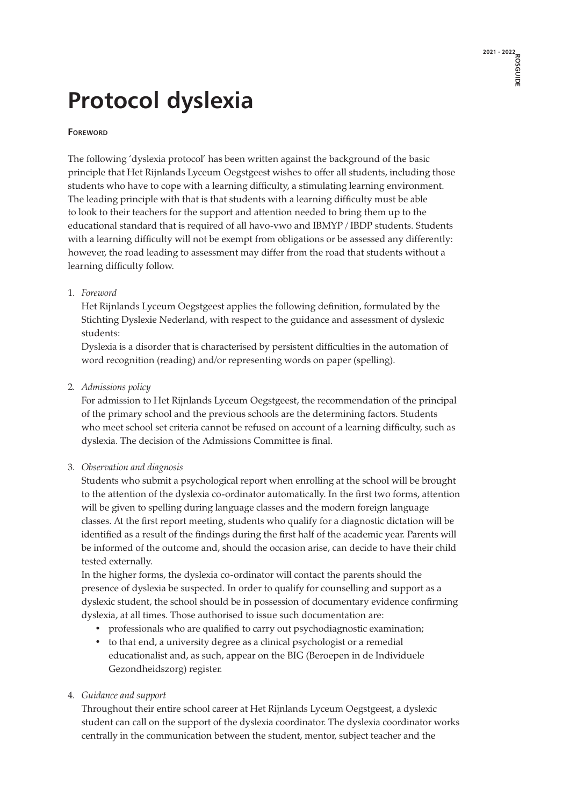# **Protocol dyslexia**

#### **Foreword**

The following 'dyslexia protocol' has been written against the background of the basic principle that Het Rijnlands Lyceum Oegstgeest wishes to offer all students, including those students who have to cope with a learning difficulty, a stimulating learning environment. The leading principle with that is that students with a learning difficulty must be able to look to their teachers for the support and attention needed to bring them up to the educational standard that is required of all havo-vwo and IBMYP / IBDP students. Students with a learning difficulty will not be exempt from obligations or be assessed any differently: however, the road leading to assessment may differ from the road that students without a learning difficulty follow.

#### 1. *Foreword*

 Het Rijnlands Lyceum Oegstgeest applies the following definition, formulated by the Stichting Dyslexie Nederland, with respect to the guidance and assessment of dyslexic students:

 Dyslexia is a disorder that is characterised by persistent difficulties in the automation of word recognition (reading) and/or representing words on paper (spelling).

## 2. *Admissions policy*

 For admission to Het Rijnlands Lyceum Oegstgeest, the recommendation of the principal of the primary school and the previous schools are the determining factors. Students who meet school set criteria cannot be refused on account of a learning difficulty, such as dyslexia. The decision of the Admissions Committee is final.

#### 3. *Observation and diagnosis*

 Students who submit a psychological report when enrolling at the school will be brought to the attention of the dyslexia co-ordinator automatically. In the first two forms, attention will be given to spelling during language classes and the modern foreign language classes. At the first report meeting, students who qualify for a diagnostic dictation will be identified as a result of the findings during the first half of the academic year. Parents will be informed of the outcome and, should the occasion arise, can decide to have their child tested externally.

 In the higher forms, the dyslexia co-ordinator will contact the parents should the presence of dyslexia be suspected. In order to qualify for counselling and support as a dyslexic student, the school should be in possession of documentary evidence confirming dyslexia, at all times. Those authorised to issue such documentation are:

- professionals who are qualified to carry out psychodiagnostic examination;
- to that end, a university degree as a clinical psychologist or a remedial educationalist and, as such, appear on the BIG (Beroepen in de Individuele Gezondheidszorg) register.

## 4. *Guidance and support*

Throughout their entire school career at Het Rijnlands Lyceum Oegstgeest, a dyslexic student can call on the support of the dyslexia coordinator. The dyslexia coordinator works centrally in the communication between the student, mentor, subject teacher and the